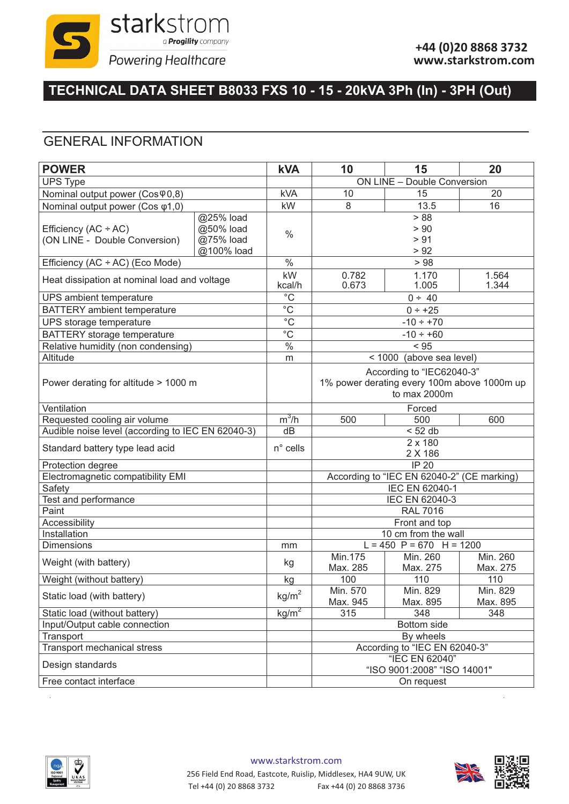

# **TECHNICAL DATA SHEET B8033 FXS 10 - 15 - 20kVA 3Ph (In) - 3PH (Out)**

#### GENERAL INFORMATION

| <b>POWER</b>                                            |                                                   | <b>kVA</b>        | 10                                                                                       | 15                                 | 20                   |
|---------------------------------------------------------|---------------------------------------------------|-------------------|------------------------------------------------------------------------------------------|------------------------------------|----------------------|
| <b>UPS Type</b>                                         |                                                   |                   |                                                                                          | <b>ON LINE - Double Conversion</b> |                      |
| Nominal output power (Cos 90,8)                         |                                                   | <b>kVA</b>        | 10                                                                                       | 15                                 | 20                   |
| Nominal output power (Cos φ1,0)                         |                                                   | kW                | 8                                                                                        | 13.5                               | 16                   |
| Efficiency $(AC + AC)$<br>(ON LINE - Double Conversion) | @25% load<br>@50% load<br>@75% load<br>@100% load | $\frac{0}{0}$     |                                                                                          | > 88<br>> 90<br>> 91<br>> 92       |                      |
| Efficiency (AC ÷ AC) (Eco Mode)                         |                                                   | $\frac{0}{0}$     | >98                                                                                      |                                    |                      |
| Heat dissipation at nominal load and voltage            |                                                   | kW<br>kcal/h      | 0.782<br>1.170<br>1.564<br>1.005<br>0.673<br>1.344                                       |                                    |                      |
| UPS ambient temperature                                 |                                                   | $\overline{C}$    | 0 ÷ 40                                                                                   |                                    |                      |
| <b>BATTERY</b> ambient temperature                      |                                                   | $\overline{C}$    | $0 ÷ +25$                                                                                |                                    |                      |
| UPS storage temperature                                 |                                                   | $\overline{C}$    | $-10 \div +70$                                                                           |                                    |                      |
| <b>BATTERY</b> storage temperature                      |                                                   | $\overline{C}$    | $-10 \div +60$                                                                           |                                    |                      |
| Relative humidity (non condensing)                      |                                                   | $\frac{0}{6}$     | < 95                                                                                     |                                    |                      |
| Altitude                                                |                                                   | m                 | < 1000 (above sea level)                                                                 |                                    |                      |
| Power derating for altitude > 1000 m                    |                                                   |                   | According to "IEC62040-3"<br>1% power derating every 100m above 1000m up<br>to max 2000m |                                    |                      |
| Ventilation                                             |                                                   |                   | Forced                                                                                   |                                    |                      |
| Requested cooling air volume                            |                                                   | $m^3/h$           | 500                                                                                      | 500                                | 600                  |
| Audible noise level (according to IEC EN 62040-3)       |                                                   | dB                | < 52 db                                                                                  |                                    |                      |
| Standard battery type lead acid                         |                                                   | $n^{\circ}$ cells | 2 x 180<br>2 X 186                                                                       |                                    |                      |
| Protection degree                                       |                                                   |                   | IP <sub>20</sub>                                                                         |                                    |                      |
| Electromagnetic compatibility EMI                       |                                                   |                   | According to "IEC EN 62040-2" (CE marking)                                               |                                    |                      |
| Safety                                                  |                                                   |                   | <b>IEC EN 62040-1</b>                                                                    |                                    |                      |
| Test and performance                                    |                                                   |                   | IEC EN 62040-3                                                                           |                                    |                      |
| Paint                                                   |                                                   |                   | <b>RAL 7016</b>                                                                          |                                    |                      |
| Accessibility                                           |                                                   |                   | Front and top                                                                            |                                    |                      |
| Installation                                            |                                                   |                   | 10 cm from the wall<br>$L = 450$ P = 670 H = 1200                                        |                                    |                      |
| <b>Dimensions</b>                                       |                                                   | mm                | Min.175                                                                                  | Min. 260                           | Min. 260             |
| Weight (with battery)                                   |                                                   | kg                | Max. 285                                                                                 | Max. 275                           | Max. 275             |
| Weight (without battery)                                |                                                   | kg                | 100                                                                                      | 110                                | 110                  |
| Static load (with battery)                              |                                                   | kg/m <sup>2</sup> | Min. 570<br>Max. 945                                                                     | Min. 829<br>Max. 895               | Min. 829<br>Max. 895 |
| Static load (without battery)                           |                                                   | kg/m <sup>2</sup> | 315                                                                                      | 348                                | 348                  |
| Input/Output cable connection                           |                                                   |                   | Bottom side                                                                              |                                    |                      |
| Transport                                               |                                                   |                   | By wheels                                                                                |                                    |                      |
| Transport mechanical stress                             |                                                   |                   | According to "IEC EN 62040-3"                                                            |                                    |                      |
| Design standards                                        |                                                   |                   | "IEC EN 62040"<br>"ISO 9001:2008" "ISO 14001"                                            |                                    |                      |
| Free contact interface                                  |                                                   |                   |                                                                                          | On request                         |                      |



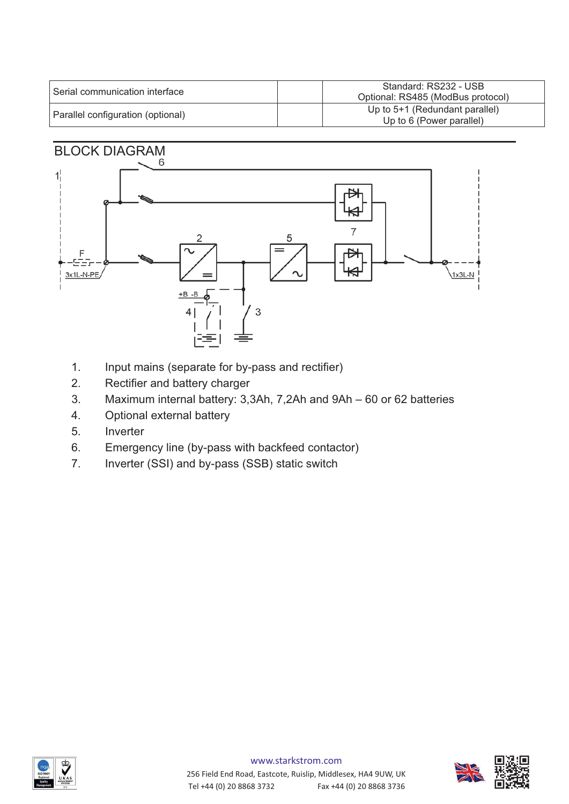| Serial communication interface    | Standard: RS232 - USB<br>Optional: RS485 (ModBus protocol)   |
|-----------------------------------|--------------------------------------------------------------|
| Parallel configuration (optional) | Up to $5+1$ (Redundant parallel)<br>Up to 6 (Power parallel) |

# BLOCK DIAGRAM



- 1. Input mains (separate for by-pass and rectifier)
- 2. Rectifier and battery charger
- 3. Maximum internal battery: 3,3Ah, 7,2Ah and 9Ah 60 or 62 batteries
- 4. Optional external battery
- 5. Inverter
- 6. Emergency line (by-pass with backfeed contactor)
- 7. Inverter (SSI) and by-pass (SSB) static switch



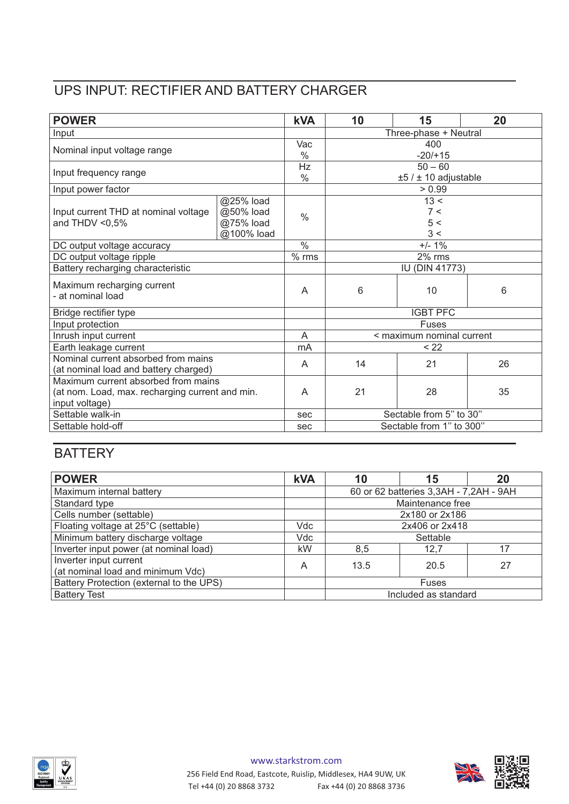### UPS INPUT: RECTIFIER AND BATTERY CHARGER

| <b>POWER</b>                                    |            | <b>kVA</b>    | 10                        | 15  | 20 |
|-------------------------------------------------|------------|---------------|---------------------------|-----|----|
| Input                                           |            |               | Three-phase + Neutral     |     |    |
| Nominal input voltage range                     |            | Vac           | 400                       |     |    |
|                                                 |            | $\%$          | $-20/+15$                 |     |    |
| Input frequency range                           |            | Hz            | $50 - 60$                 |     |    |
|                                                 |            | $\frac{0}{0}$ | $±5 / ± 10$ adjustable    |     |    |
| Input power factor                              |            |               | > 0.99                    |     |    |
|                                                 | @25% load  |               | 13 <                      |     |    |
| Input current THD at nominal voltage            | @50% load  | $\frac{0}{0}$ | 7 <                       |     |    |
| and THDV $< 0.5\%$                              | @75% load  |               | 5 <                       |     |    |
|                                                 | @100% load |               |                           | 3 < |    |
| DC output voltage accuracy                      |            | $\frac{0}{0}$ | $+/- 1%$                  |     |    |
| DC output voltage ripple                        |            | $%$ rms       | 2% rms                    |     |    |
| Battery recharging characteristic               |            |               | <b>IU (DIN 41773)</b>     |     |    |
| Maximum recharging current<br>- at nominal load |            | A             | 6                         | 10  | 6  |
| Bridge rectifier type                           |            |               | <b>IGBT PFC</b>           |     |    |
| Input protection                                |            |               | <b>Fuses</b>              |     |    |
| Inrush input current                            |            | A             | < maximum nominal current |     |    |
| Earth leakage current                           |            | mA            | < 22                      |     |    |
| Nominal current absorbed from mains             |            | A             | 14                        | 21  | 26 |
| (at nominal load and battery charged)           |            |               |                           |     |    |
| Maximum current absorbed from mains             |            |               |                           |     |    |
| (at nom. Load, max. recharging current and min. |            | A             | 21                        | 28  | 35 |
| input voltage)                                  |            |               |                           |     |    |
| Settable walk-in                                |            | sec           | Sectable from 5" to 30"   |     |    |
| Settable hold-off                               |            | sec           | Sectable from 1" to 300"  |     |    |

### **BATTERY**

| <b>POWER</b>                             | <b>kVA</b> | 10                                     | 15                   | 20 |
|------------------------------------------|------------|----------------------------------------|----------------------|----|
| Maximum internal battery                 |            | 60 or 62 batteries 3,3AH - 7,2AH - 9AH |                      |    |
| Standard type                            |            | Maintenance free                       |                      |    |
| Cells number (settable)                  |            |                                        | 2x180 or 2x186       |    |
| Floating voltage at 25°C (settable)      | Vdc        | 2x406 or 2x418                         |                      |    |
| Minimum battery discharge voltage        | Vdc        |                                        | Settable             |    |
| Inverter input power (at nominal load)   | kW         | 8,5                                    | 12,7                 | 17 |
| Inverter input current                   | A          | 13.5                                   | 20.5                 | 27 |
| (at nominal load and minimum Vdc)        |            |                                        |                      |    |
| Battery Protection (external to the UPS) |            |                                        | <b>Fuses</b>         |    |
| <b>Battery Test</b>                      |            |                                        | Included as standard |    |



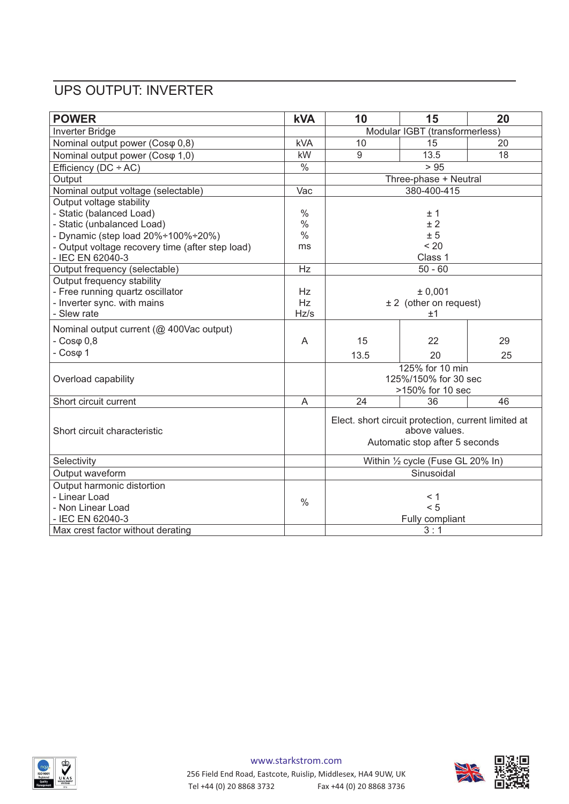## UPS OUTPUT: INVERTER

| <b>POWER</b>                                       | <b>kVA</b>               | 10                                                                                                     | 15              | 20 |
|----------------------------------------------------|--------------------------|--------------------------------------------------------------------------------------------------------|-----------------|----|
| Inverter Bridge                                    |                          | Modular IGBT (transformerless)                                                                         |                 |    |
| Nominal output power (Cosφ 0,8)                    | <b>kVA</b>               | 10                                                                                                     | 15              | 20 |
| Nominal output power (Coso 1,0)                    | kW                       | 9                                                                                                      | 13.5            | 18 |
| Efficiency ( $DC + AC$ )                           | $\overline{\frac{0}{6}}$ |                                                                                                        | $>95$           |    |
| Output                                             |                          | Three-phase + Neutral                                                                                  |                 |    |
| Nominal output voltage (selectable)                | Vac                      |                                                                                                        | 380-400-415     |    |
| Output voltage stability                           |                          |                                                                                                        |                 |    |
| - Static (balanced Load)                           | $\frac{0}{0}$            |                                                                                                        | ±1              |    |
| - Static (unbalanced Load)                         | $\%$                     |                                                                                                        | ±2              |    |
| - Dynamic (step load $20\% \div 100\% \div 20\%$ ) | $\frac{0}{0}$            | ± 5                                                                                                    |                 |    |
| - Output voltage recovery time (after step load)   | ms                       |                                                                                                        | < 20            |    |
| - IEC EN 62040-3                                   |                          | Class 1                                                                                                |                 |    |
| Output frequency (selectable)                      | Hz                       |                                                                                                        | $50 - 60$       |    |
| Output frequency stability                         |                          |                                                                                                        |                 |    |
| - Free running quartz oscillator                   | <b>Hz</b>                | ± 0,001                                                                                                |                 |    |
| - Inverter sync. with mains                        | <b>Hz</b>                | $± 2$ (other on request)                                                                               |                 |    |
| - Slew rate                                        | Hz/s                     |                                                                                                        | ±1              |    |
| Nominal output current (@ 400Vac output)           |                          |                                                                                                        |                 |    |
| $-Cos\varphi$ 0,8                                  | A                        | 15                                                                                                     | 22              | 29 |
| $-Cos\varphi$ 1                                    |                          | 13.5                                                                                                   | 20              | 25 |
|                                                    |                          |                                                                                                        | 125% for 10 min |    |
| Overload capability                                |                          | 125%/150% for 30 sec<br>>150% for 10 sec                                                               |                 |    |
|                                                    |                          |                                                                                                        |                 |    |
| Short circuit current                              | A                        | 24                                                                                                     | 36              | 46 |
| Short circuit characteristic                       |                          | Elect. short circuit protection, current limited at<br>above values.<br>Automatic stop after 5 seconds |                 |    |
| Selectivity                                        |                          | Within 1/2 cycle (Fuse GL 20% In)                                                                      |                 |    |
| Output waveform                                    |                          | Sinusoidal                                                                                             |                 |    |
| Output harmonic distortion                         |                          |                                                                                                        |                 |    |
| - Linear Load                                      | $\%$                     |                                                                                                        | < 1             |    |
| - Non Linear Load                                  |                          |                                                                                                        | < 5             |    |
| - IEC EN 62040-3                                   |                          | Fully compliant                                                                                        |                 |    |
| Max crest factor without derating                  |                          |                                                                                                        | 3:1             |    |

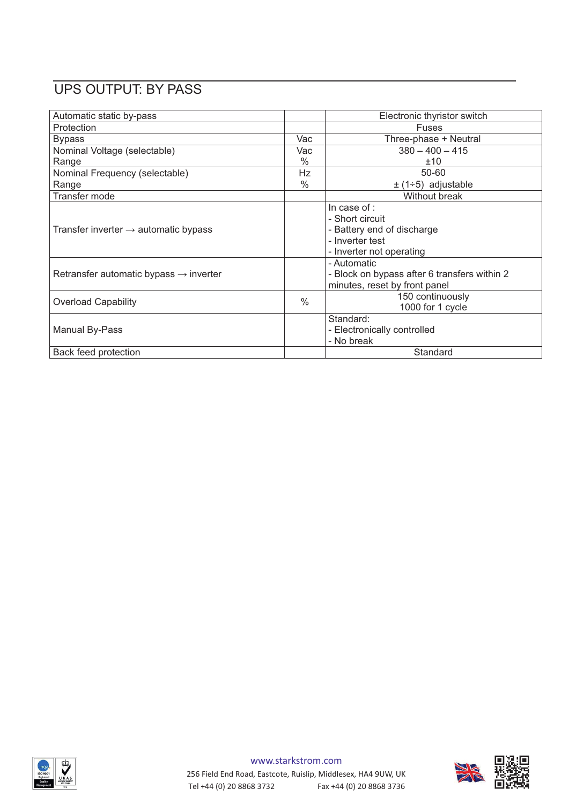## UPS OUTPUT: BY PASS

| Automatic static by-pass                           |               | Electronic thyristor switch                                                                                  |
|----------------------------------------------------|---------------|--------------------------------------------------------------------------------------------------------------|
| Protection                                         |               | Fuses                                                                                                        |
| <b>Bypass</b>                                      | Vac           | Three-phase + Neutral                                                                                        |
| Nominal Voltage (selectable)                       | Vac           | $380 - 400 - 415$                                                                                            |
| Range                                              | $\%$          | ±10                                                                                                          |
| Nominal Frequency (selectable)                     | Hz            | 50-60                                                                                                        |
| Range                                              | $\%$          | $\pm$ (1÷5) adjustable                                                                                       |
| Transfer mode                                      |               | <b>Without break</b>                                                                                         |
| Transfer inverter $\rightarrow$ automatic bypass   |               | In case of :<br>- Short circuit<br>- Battery end of discharge<br>- Inverter test<br>- Inverter not operating |
| Retransfer automatic bypass $\rightarrow$ inverter |               | - Automatic<br>- Block on bypass after 6 transfers within 2<br>minutes, reset by front panel                 |
| <b>Overload Capability</b>                         | $\frac{0}{0}$ | 150 continuously<br>1000 for 1 cycle                                                                         |
| Manual By-Pass                                     |               | Standard:<br>- Electronically controlled<br>- No break                                                       |
| Back feed protection                               |               | Standard                                                                                                     |